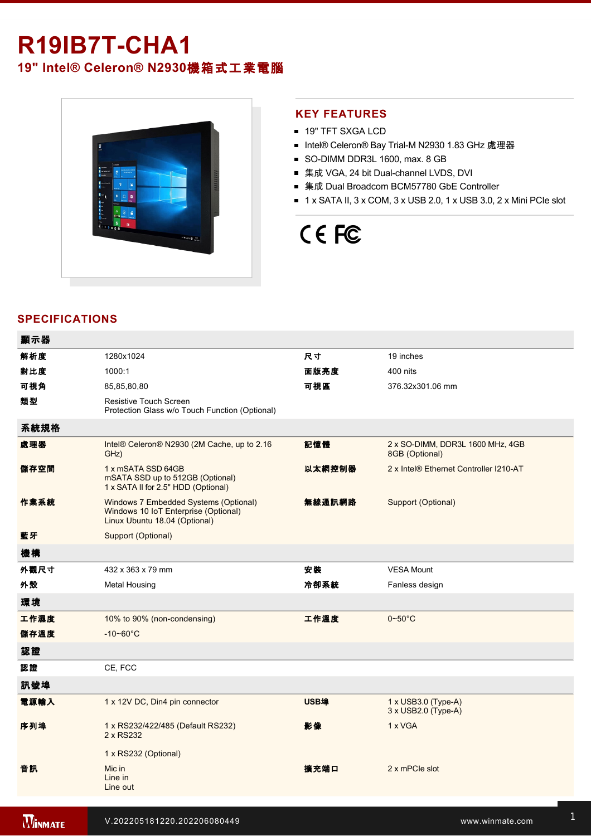## **R19IB7T-CHA1**

**19" Intel® Celeron® N2930**機箱式工業電腦



## **KEY FEATURES**

- **19" TFT SXGA LCD**
- Intel® Celeron® Bay Trial-M N2930 1.83 GHz 處理器
- SO-DIMM DDR3L 1600, max. 8 GB
- 集成 VGA, 24 bit Dual-channel LVDS, DVI
- 集成 Dual Broadcom BCM57780 GbE Controller
- $\blacksquare$  1 x SATA II, 3 x COM, 3 x USB 2.0, 1 x USB 3.0, 2 x Mini PCIe slot

# CE FC

## **SPECIFICATIONS**

| 顯示器  |                                                                                                                |        |                                                    |
|------|----------------------------------------------------------------------------------------------------------------|--------|----------------------------------------------------|
| 解析度  | 1280x1024                                                                                                      | 尺寸     | 19 inches                                          |
| 對比度  | 1000:1                                                                                                         | 面版亮度   | 400 nits                                           |
| 可視角  | 85,85,80,80                                                                                                    | 可視區    | 376.32x301.06 mm                                   |
| 類型   | Resistive Touch Screen<br>Protection Glass w/o Touch Function (Optional)                                       |        |                                                    |
| 系統規格 |                                                                                                                |        |                                                    |
| 處理器  | Intel® Celeron® N2930 (2M Cache, up to 2.16<br>GHz)                                                            | 記憶體    | 2 x SO-DIMM, DDR3L 1600 MHz, 4GB<br>8GB (Optional) |
| 儲存空間 | 1 x mSATA SSD 64GB<br>mSATA SSD up to 512GB (Optional)<br>1 x SATA II for 2.5" HDD (Optional)                  | 以太網控制器 | 2 x Intel® Ethernet Controller I210-AT             |
| 作業系統 | Windows 7 Embedded Systems (Optional)<br>Windows 10 IoT Enterprise (Optional)<br>Linux Ubuntu 18.04 (Optional) | 無線通訊網路 | Support (Optional)                                 |
| 藍牙   | Support (Optional)                                                                                             |        |                                                    |
| 機構   |                                                                                                                |        |                                                    |
| 外觀尺寸 | 432 x 363 x 79 mm                                                                                              | 安裝     | <b>VESA Mount</b>                                  |
| 外殼   | <b>Metal Housing</b>                                                                                           | 冷卻系統   | Fanless design                                     |
| 環境   |                                                                                                                |        |                                                    |
| 工作濕度 | 10% to 90% (non-condensing)                                                                                    | 工作溫度   | $0 - 50$ °C                                        |
| 儲存溫度 | $-10 - 60^{\circ}C$                                                                                            |        |                                                    |
| 認證   |                                                                                                                |        |                                                    |
| 認證   | CE, FCC                                                                                                        |        |                                                    |
| 訊號埠  |                                                                                                                |        |                                                    |
| 電源輸入 | 1 x 12V DC, Din4 pin connector                                                                                 | USB埠   | $1 \times$ USB3.0 (Type-A)<br>3 x USB2.0 (Type-A)  |
| 序列埠  | 1 x RS232/422/485 (Default RS232)<br>2 x RS232                                                                 | 影像     | 1 x VGA                                            |
|      | 1 x RS232 (Optional)                                                                                           |        |                                                    |
| 音訊   | Mic in<br>Line in<br>Line out                                                                                  | 擴充端口   | 2 x mPCle slot                                     |
|      |                                                                                                                |        |                                                    |